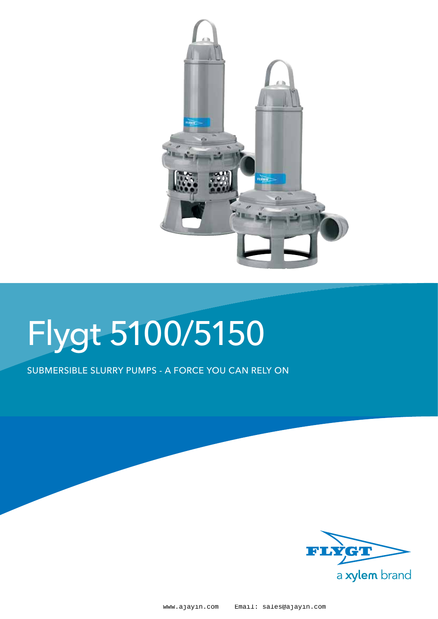

# Flygt 5100/5150

Submersible slurry pumps - A force you can rely on

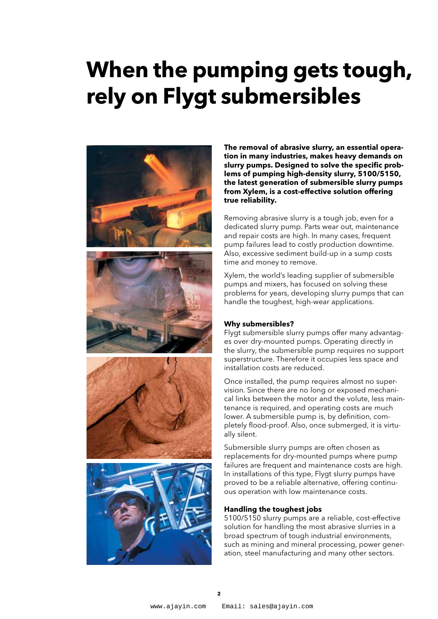# **When the pumping gets tough, rely on Flygt submersibles**



**The removal of abrasive slurry, an essential operation in many industries, makes heavy demands on slurry pumps. Designed to solve the specific problems of pumping high-density slurry, 5100/5150, the latest generation of submersible slurry pumps from Xylem, is a cost-effective solution offering true reliability.** 

Removing abrasive slurry is a tough job, even for a dedicated slurry pump. Parts wear out, maintenance and repair costs are high. In many cases, frequent pump failures lead to costly production downtime. Also, excessive sediment build-up in a sump costs time and money to remove.

Xylem, the world's leading supplier of submersible pumps and mixers, has focused on solving these problems for years, developing slurry pumps that can handle the toughest, high-wear applications.

#### **Why submersibles?**

Flygt submersible slurry pumps offer many advantages over dry-mounted pumps. Operating directly in the slurry, the submersible pump requires no support superstructure. Therefore it occupies less space and installation costs are reduced.

Once installed, the pump requires almost no supervision. Since there are no long or exposed mechanical links between the motor and the volute, less maintenance is required, and operating costs are much lower. A submersible pump is, by definition, completely flood-proof. Also, once submerged, it is virtually silent.

Submersible slurry pumps are often chosen as replacements for dry-mounted pumps where pump failures are frequent and maintenance costs are high. In installations of this type, Flygt slurry pumps have proved to be a reliable alternative, offering continuous operation with low maintenance costs.

#### **Handling the toughest jobs**

5100/5150 slurry pumps are a reliable, cost-effective solution for handling the most abrasive slurries in a broad spectrum of tough industrial environments, such as mining and mineral processing, power generation, steel manufacturing and many other sectors.

 $\mathbf{r}$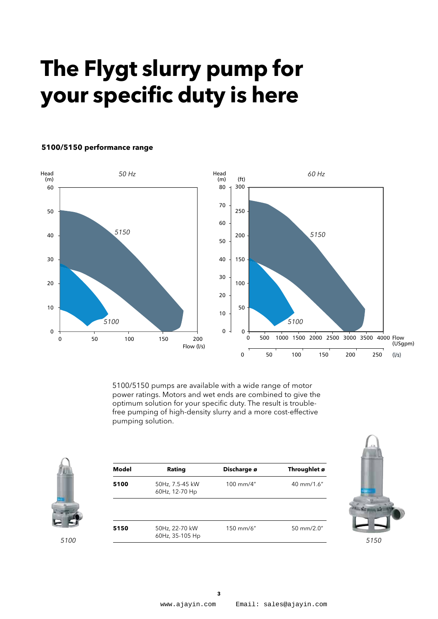# **The Flygt slurry pump for your specific duty is here**



#### **5100/5150 performance range**

5100/5150 pumps are available with a wide range of motor power ratings. Motors and wet ends are combined to give the optimum solution for your specific duty. The result is troublefree pumping of high-density slurry and a more cost-effective pumping solution.



| Model | Rating                            | Discharge ø | Throughlet ø |
|-------|-----------------------------------|-------------|--------------|
| 5100  | 50Hz, 7.5-45 kW<br>60Hz, 12-70 Hp | 100 mm/4"   | 40 mm/1.6"   |
|       |                                   |             |              |
|       |                                   | 150 mm/6"   | 50 mm/2.0"   |

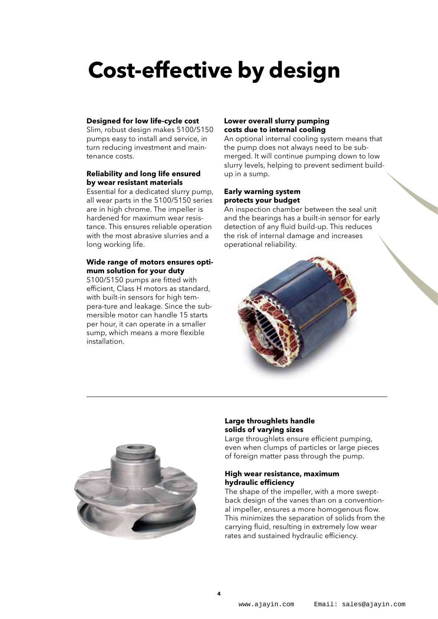### **Cost-effective by design**

#### **Designed for low life-cycle cost**

Slim, robust design makes 5100/5150 pumps easy to install and service, in turn reducing investment and maintenance costs.

#### **Reliability and long life ensured by wear resistant materials**

Essential for a dedicated slurry pump, all wear parts in the 5100/5150 series are in high chrome. The impeller is hardened for maximum wear resistance. This ensures reliable operation with the most abrasive slurries and a long working life.

#### **Wide range of motors ensures optimum solution for your duty**

5100/5150 pumps are fitted with efficient, Class H motors as standard, with built-in sensors for high tempera-ture and leakage. Since the submersible motor can handle 15 starts per hour, it can operate in a smaller sump, which means a more flexible installation.

#### **Lower overall slurry pumping costs due to internal cooling**

An optional internal cooling system means that the pump does not always need to be submerged. It will continue pumping down to low slurry levels, helping to prevent sediment buildup in a sump.

#### **Early warning system protects your budget**

An inspection chamber between the seal unit and the bearings has a built-in sensor for early detection of any fluid build-up. This reduces the risk of internal damage and increases operational reliability.





#### **Large throughlets handle solids of varying sizes**

Large throughlets ensure efficient pumping, even when clumps of particles or large pieces of foreign matter pass through the pump.

#### **High wear resistance, maximum hydraulic efficiency**

The shape of the impeller, with a more sweptback design of the vanes than on a conventional impeller, ensures a more homogenous flow. This minimizes the separation of solids from the carrying fluid, resulting in extremely low wear rates and sustained hydraulic efficiency.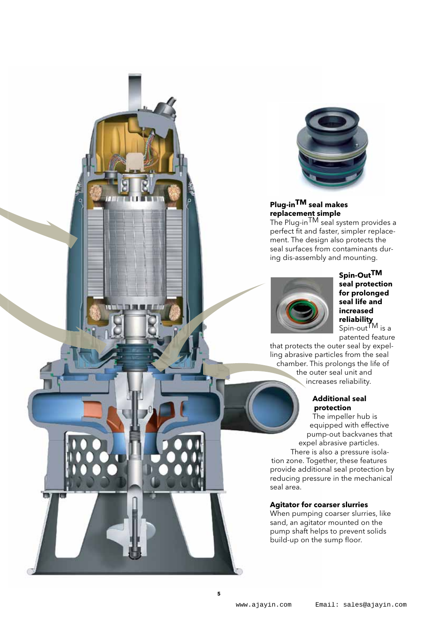

#### **Plug-inTM seal makes replacement simple**

The Plug-inTM seal system provides a perfect fit and faster, simpler replacement. The design also protects the seal surfaces from contaminants during dis-assembly and mounting.



#### **Spin-OutTM seal protection for prolonged seal life and increased reliability**  Spin-outTM is a

patented feature

that protects the outer seal by expelling abrasive particles from the seal chamber. This prolongs the life of the outer seal unit and increases reliability.

#### **Additional seal protection**

The impeller hub is equipped with effective pump-out backvanes that expel abrasive particles. There is also a pressure isolation zone. Together, these features provide additional seal protection by reducing pressure in the mechanical

#### **Agitator for coarser slurries**

seal area.

When pumping coarser slurries, like sand, an agitator mounted on the pump shaft helps to prevent solids build-up on the sump floor.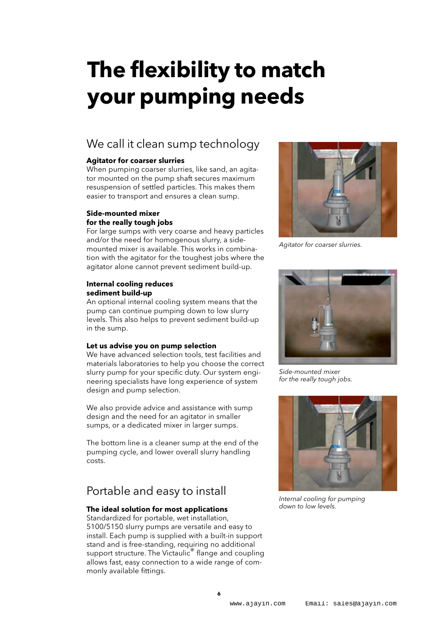# **The flexibility to match your pumping needs**

### We call it clean sump technology

#### **Agitator for coarser slurries**

When pumping coarser slurries, like sand, an agitator mounted on the pump shaft secures maximum resuspension of settled particles. This makes them easier to transport and ensures a clean sump.

#### **Side-mounted mixer for the really tough jobs**

For large sumps with very coarse and heavy particles and/or the need for homogenous slurry, a sidemounted mixer is available. This works in combination with the agitator for the toughest jobs where the agitator alone cannot prevent sediment build-up.

#### **Internal cooling reduces sediment build-up**

An optional internal cooling system means that the pump can continue pumping down to low slurry levels. This also helps to prevent sediment build-up in the sump.

#### **Let us advise you on pump selection**

We have advanced selection tools, test facilities and materials laboratories to help you choose the correct slurry pump for your specific duty. Our system engineering specialists have long experience of system design and pump selection.

We also provide advice and assistance with sump design and the need for an agitator in smaller sumps, or a dedicated mixer in larger sumps.

The bottom line is a cleaner sump at the end of the pumping cycle, and lower overall slurry handling costs.

### Portable and easy to install

#### **The ideal solution for most applications**

Standardized for portable, wet installation, 5100/5150 slurry pumps are versatile and easy to install. Each pump is supplied with a built-in support stand and is free-standing, requiring no additional support structure. The Victaulic<sup>®</sup> flange and coupling allows fast, easy connection to a wide range of commonly available fittings.



*Agitator for coarser slurries.*



*Side-mounted mixer for the really tough jobs.*



*Internal cooling for pumping down to low levels.*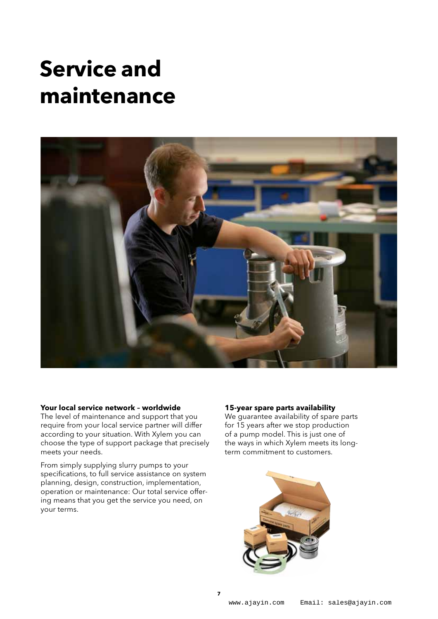### **Service and maintenance**



#### **Your local service network – worldwide**

The level of maintenance and support that you require from your local service partner will differ according to your situation. With Xylem you can choose the type of support package that precisely meets your needs.

From simply supplying slurry pumps to your specifications, to full service assistance on system planning, design, construction, implementation, operation or maintenance: Our total service offering means that you get the service you need, on your terms.

#### **15-year spare parts availability**

We quarantee availability of spare parts for 15 years after we stop production of a pump model. This is just one of the ways in which Xylem meets its longterm commitment to customers.